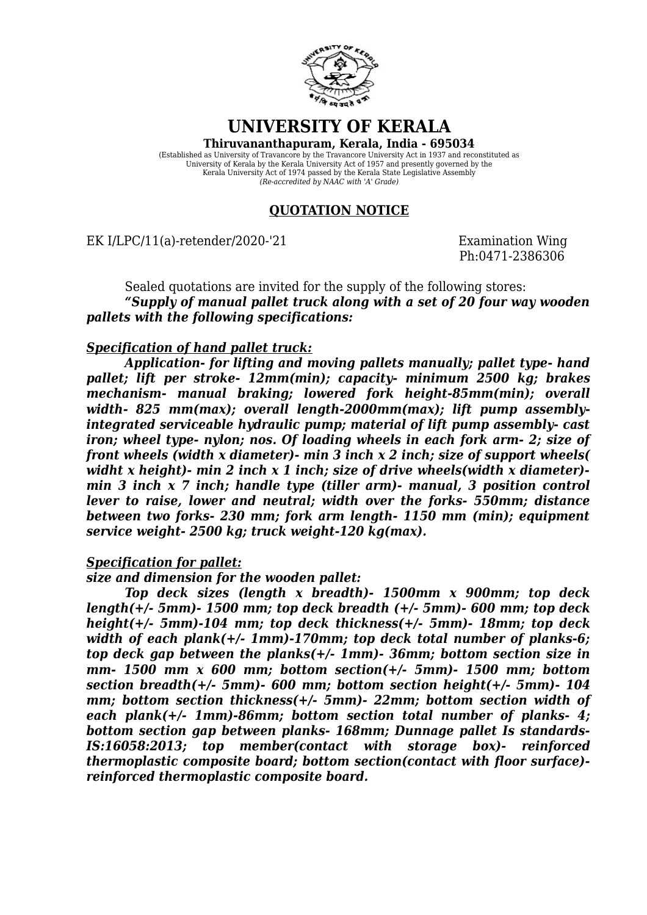

# **UNIVERSITY OF KERALA**

**Thiruvananthapuram, Kerala, India - 695034**

(Established as University of Travancore by the Travancore University Act in 1937 and reconstituted as University of Kerala by the Kerala University Act of 1957 and presently governed by the Kerala University Act of 1974 passed by the Kerala State Legislative Assembly *(Re-accredited by NAAC with 'A' Grade)*

### **QUOTATION NOTICE**

EK I/LPC/11(a)-retender/2020-'21 Examination Wing

Ph:0471-2386306

Sealed quotations are invited for the supply of the following stores: *"Supply of manual pallet truck along with a set of 20 four way wooden pallets with the following specifications:*

## *Specification of hand pallet truck:*

*Application- for lifting and moving pallets manually; pallet type- hand pallet; lift per stroke- 12mm(min); capacity- minimum 2500 kg; brakes mechanism- manual braking; lowered fork height-85mm(min); overall* width- 825 mm(max); overall length-2000mm(max); lift pump assembly*integrated serviceable hydraulic pump; material of lift pump assembly- cast iron; wheel type- nylon; nos. Of loading wheels in each fork arm- 2; size of front wheels (width x diameter)- min 3 inch x 2 inch; size of support wheels( widht x height)- min 2 inch x 1 inch; size of drive wheels(width x diameter) min 3 inch x 7 inch; handle type (tiller arm)- manual, 3 position control lever to raise, lower and neutral; width over the forks- 550mm; distance between two forks- 230 mm; fork arm length- 1150 mm (min); equipment service weight- 2500 kg; truck weight-120 kg(max).*

#### *Specification for pallet:*

#### *size and dimension for the wooden pallet:*

*Top deck sizes (length x breadth)- 1500mm x 900mm; top deck length(+/- 5mm)- 1500 mm; top deck breadth (+/- 5mm)- 600 mm; top deck height(+/- 5mm)-104 mm; top deck thickness(+/- 5mm)- 18mm; top deck width of each plank(+/- 1mm)-170mm; top deck total number of planks-6; top deck gap between the planks(+/- 1mm)- 36mm; bottom section size in mm- 1500 mm x 600 mm; bottom section(+/- 5mm)- 1500 mm; bottom section breadth(+/- 5mm)- 600 mm; bottom section height(+/- 5mm)- 104 mm; bottom section thickness(+/- 5mm)- 22mm; bottom section width of each plank(+/- 1mm)-86mm; bottom section total number of planks- 4; bottom section gap between planks- 168mm; Dunnage pallet Is standards-IS:16058:2013; top member(contact with storage box)- reinforced thermoplastic composite board; bottom section(contact with floor surface) reinforced thermoplastic composite board.*